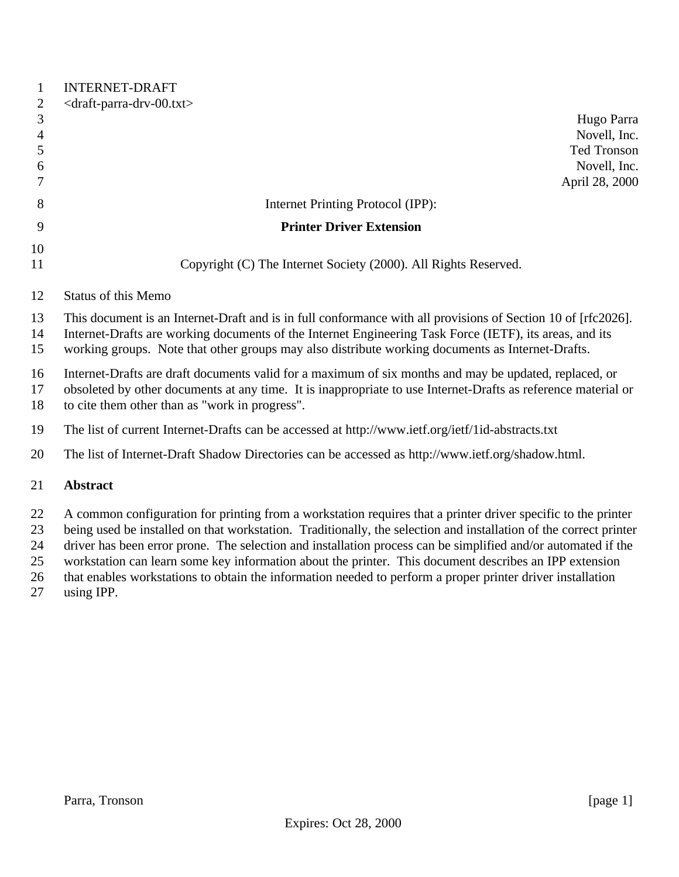| Hugo Parra                                                                                                                                                                                                           |
|----------------------------------------------------------------------------------------------------------------------------------------------------------------------------------------------------------------------|
|                                                                                                                                                                                                                      |
|                                                                                                                                                                                                                      |
| Novell, Inc.                                                                                                                                                                                                         |
| <b>Ted Tronson</b><br>Novell, Inc.                                                                                                                                                                                   |
| April 28, 2000                                                                                                                                                                                                       |
|                                                                                                                                                                                                                      |
|                                                                                                                                                                                                                      |
|                                                                                                                                                                                                                      |
|                                                                                                                                                                                                                      |
|                                                                                                                                                                                                                      |
|                                                                                                                                                                                                                      |
|                                                                                                                                                                                                                      |
| This document is an Internet-Draft and is in full conformance with all provisions of Section 10 of [rfc2026].                                                                                                        |
| Internet-Drafts are working documents of the Internet Engineering Task Force (IETF), its areas, and its                                                                                                              |
| working groups. Note that other groups may also distribute working documents as Internet-Drafts.                                                                                                                     |
| Internet-Drafts are draft documents valid for a maximum of six months and may be updated, replaced, or                                                                                                               |
| obsoleted by other documents at any time. It is inappropriate to use Internet-Drafts as reference material or                                                                                                        |
|                                                                                                                                                                                                                      |
| The list of current Internet-Drafts can be accessed at http://www.ietf.org/ietf/1id-abstracts.txt                                                                                                                    |
| The list of Internet-Draft Shadow Directories can be accessed as http://www.ietf.org/shadow.html.                                                                                                                    |
|                                                                                                                                                                                                                      |
|                                                                                                                                                                                                                      |
| A common configuration for printing from a workstation requires that a printer driver specific to the printer                                                                                                        |
| being used be installed on that workstation. Traditionally, the selection and installation of the correct printer                                                                                                    |
| driver has been error prone. The selection and installation process can be simplified and/or automated if the                                                                                                        |
| workstation can learn some key information about the printer. This document describes an IPP extension<br>that enables workstations to obtain the information needed to perform a proper printer driver installation |
|                                                                                                                                                                                                                      |
|                                                                                                                                                                                                                      |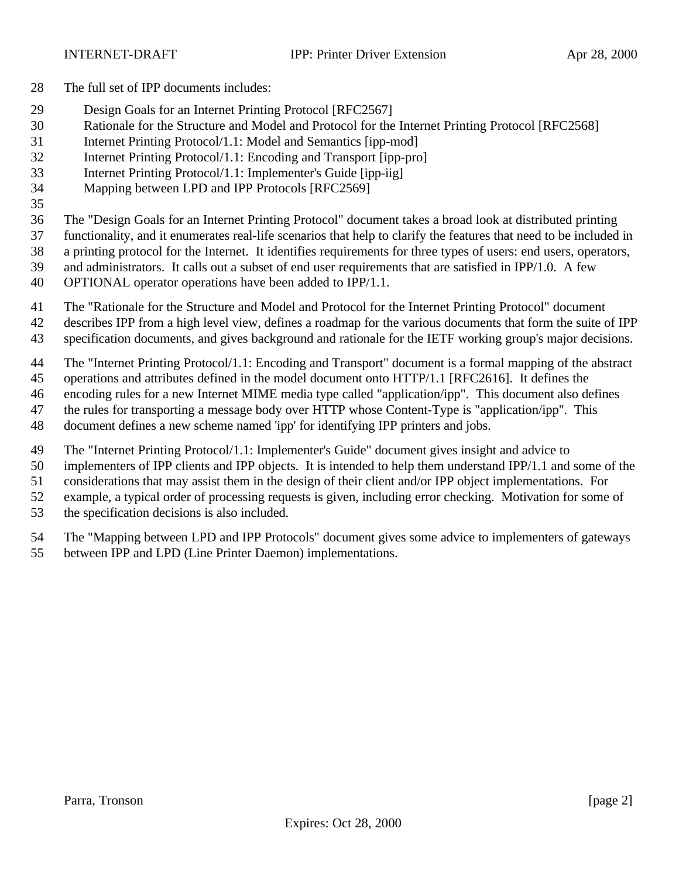- The full set of IPP documents includes:
- Design Goals for an Internet Printing Protocol [RFC2567]
- Rationale for the Structure and Model and Protocol for the Internet Printing Protocol [RFC2568]
- Internet Printing Protocol/1.1: Model and Semantics [ipp-mod]
- Internet Printing Protocol/1.1: Encoding and Transport [ipp-pro]
- Internet Printing Protocol/1.1: Implementer's Guide [ipp-iig]
- Mapping between LPD and IPP Protocols [RFC2569]
- 

The "Design Goals for an Internet Printing Protocol" document takes a broad look at distributed printing

- functionality, and it enumerates real-life scenarios that help to clarify the features that need to be included in
- a printing protocol for the Internet. It identifies requirements for three types of users: end users, operators,
- and administrators. It calls out a subset of end user requirements that are satisfied in IPP/1.0. A few
- OPTIONAL operator operations have been added to IPP/1.1.
- The "Rationale for the Structure and Model and Protocol for the Internet Printing Protocol" document
- describes IPP from a high level view, defines a roadmap for the various documents that form the suite of IPP
- specification documents, and gives background and rationale for the IETF working group's major decisions.
- The "Internet Printing Protocol/1.1: Encoding and Transport" document is a formal mapping of the abstract
- operations and attributes defined in the model document onto HTTP/1.1 [RFC2616]. It defines the
- encoding rules for a new Internet MIME media type called "application/ipp". This document also defines
- the rules for transporting a message body over HTTP whose Content-Type is "application/ipp". This
- document defines a new scheme named 'ipp' for identifying IPP printers and jobs.
- The "Internet Printing Protocol/1.1: Implementer's Guide" document gives insight and advice to
- implementers of IPP clients and IPP objects. It is intended to help them understand IPP/1.1 and some of the
- considerations that may assist them in the design of their client and/or IPP object implementations. For
- example, a typical order of processing requests is given, including error checking. Motivation for some of
- the specification decisions is also included.
- The "Mapping between LPD and IPP Protocols" document gives some advice to implementers of gateways
- between IPP and LPD (Line Printer Daemon) implementations.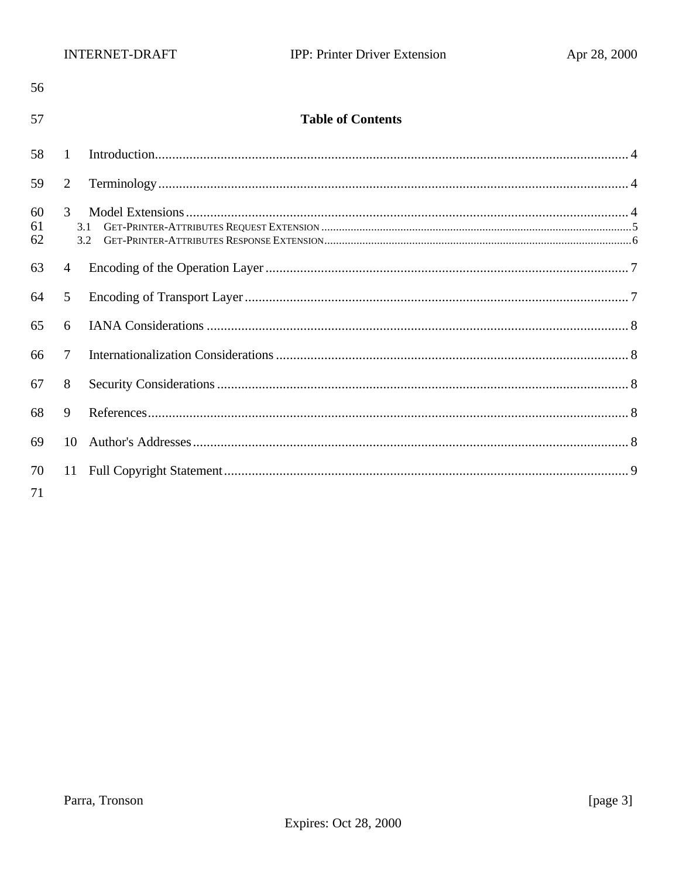| 56             |              |                          |  |
|----------------|--------------|--------------------------|--|
| 57             |              | <b>Table of Contents</b> |  |
| 58             | $\mathbf{1}$ |                          |  |
| 59             | 2            |                          |  |
| 60<br>61<br>62 | 3<br>3.1     | 3.2                      |  |
| 63             | 4            |                          |  |
| 64             | 5            |                          |  |
| 65             | 6            |                          |  |
| 66             | 7            |                          |  |
| 67             | 8            |                          |  |
| 68             | 9            |                          |  |
| 69             | 10           |                          |  |
| 70<br>71       | 11           |                          |  |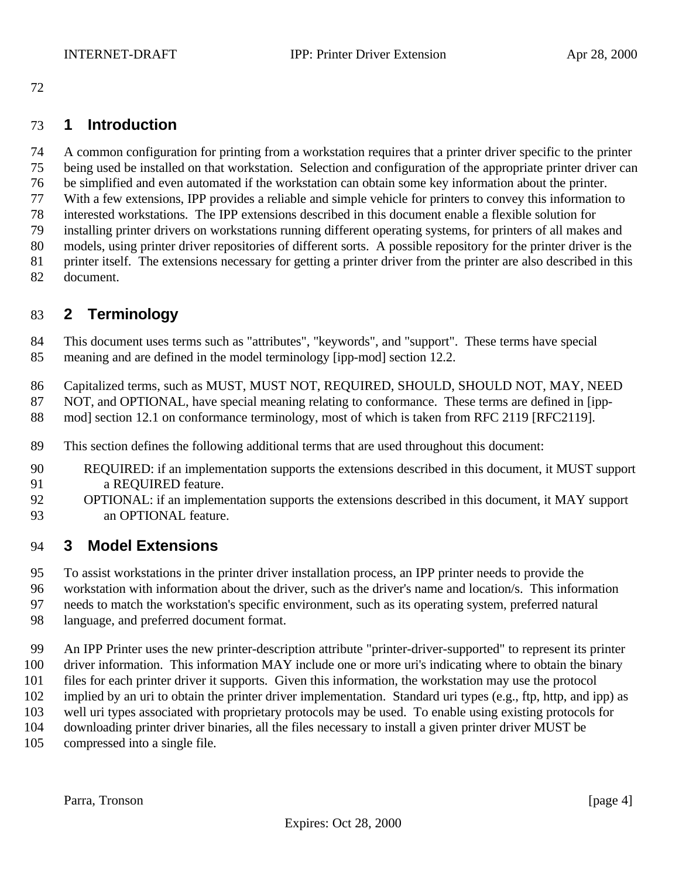## **1 Introduction**

 A common configuration for printing from a workstation requires that a printer driver specific to the printer being used be installed on that workstation. Selection and configuration of the appropriate printer driver can be simplified and even automated if the workstation can obtain some key information about the printer. With a few extensions, IPP provides a reliable and simple vehicle for printers to convey this information to interested workstations. The IPP extensions described in this document enable a flexible solution for installing printer drivers on workstations running different operating systems, for printers of all makes and models, using printer driver repositories of different sorts. A possible repository for the printer driver is the printer itself. The extensions necessary for getting a printer driver from the printer are also described in this document.

## **2 Terminology**

 This document uses terms such as "attributes", "keywords", and "support". These terms have special meaning and are defined in the model terminology [ipp-mod] section 12.2.

- Capitalized terms, such as MUST, MUST NOT, REQUIRED, SHOULD, SHOULD NOT, MAY, NEED
- 87 NOT, and OPTIONAL, have special meaning relating to conformance. These terms are defined in [ipp-
- 88 mod] section 12.1 on conformance terminology, most of which is taken from RFC 2119 [RFC2119].
- This section defines the following additional terms that are used throughout this document:
- REQUIRED: if an implementation supports the extensions described in this document, it MUST support a REQUIRED feature.
- OPTIONAL: if an implementation supports the extensions described in this document, it MAY support an OPTIONAL feature.

## **3 Model Extensions**

- To assist workstations in the printer driver installation process, an IPP printer needs to provide the
- workstation with information about the driver, such as the driver's name and location/s. This information
- needs to match the workstation's specific environment, such as its operating system, preferred natural
- language, and preferred document format.
- An IPP Printer uses the new printer-description attribute "printer-driver-supported" to represent its printer driver information. This information MAY include one or more uri's indicating where to obtain the binary files for each printer driver it supports. Given this information, the workstation may use the protocol implied by an uri to obtain the printer driver implementation. Standard uri types (e.g., ftp, http, and ipp) as well uri types associated with proprietary protocols may be used. To enable using existing protocols for downloading printer driver binaries, all the files necessary to install a given printer driver MUST be
- compressed into a single file.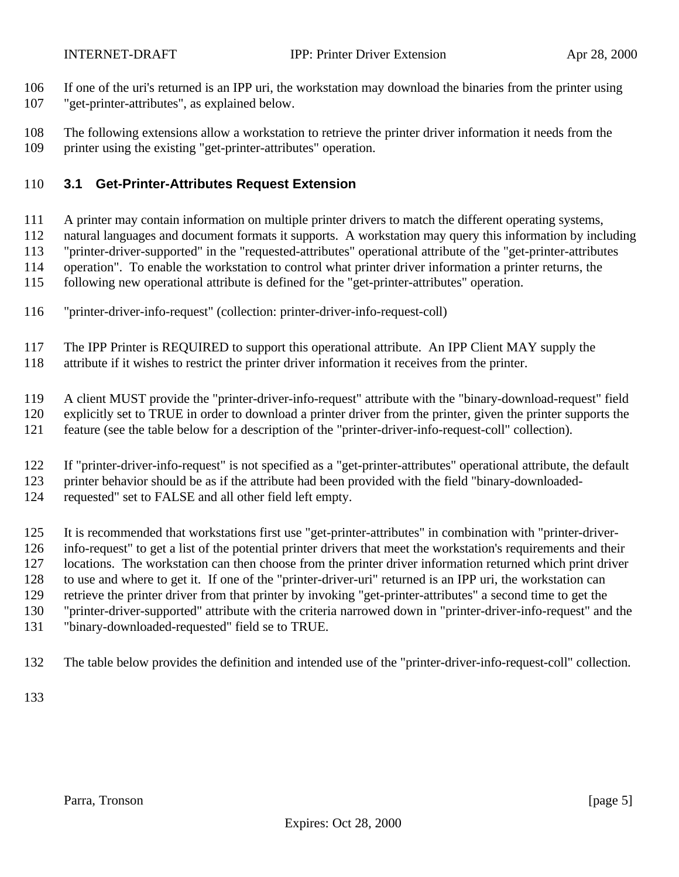If one of the uri's returned is an IPP uri, the workstation may download the binaries from the printer using

- "get-printer-attributes", as explained below.
- The following extensions allow a workstation to retrieve the printer driver information it needs from the printer using the existing "get-printer-attributes" operation.

### **3.1 Get-Printer-Attributes Request Extension**

- A printer may contain information on multiple printer drivers to match the different operating systems,
- natural languages and document formats it supports. A workstation may query this information by including
- "printer-driver-supported" in the "requested-attributes" operational attribute of the "get-printer-attributes
- operation". To enable the workstation to control what printer driver information a printer returns, the
- following new operational attribute is defined for the "get-printer-attributes" operation.
- "printer-driver-info-request" (collection: printer-driver-info-request-coll)
- The IPP Printer is REQUIRED to support this operational attribute. An IPP Client MAY supply the
- attribute if it wishes to restrict the printer driver information it receives from the printer.
- A client MUST provide the "printer-driver-info-request" attribute with the "binary-download-request" field
- explicitly set to TRUE in order to download a printer driver from the printer, given the printer supports the
- feature (see the table below for a description of the "printer-driver-info-request-coll" collection).
- If "printer-driver-info-request" is not specified as a "get-printer-attributes" operational attribute, the default
- printer behavior should be as if the attribute had been provided with the field "binary-downloaded-
- requested" set to FALSE and all other field left empty.
- It is recommended that workstations first use "get-printer-attributes" in combination with "printer-driver-
- info-request" to get a list of the potential printer drivers that meet the workstation's requirements and their
- locations. The workstation can then choose from the printer driver information returned which print driver
- to use and where to get it. If one of the "printer-driver-uri" returned is an IPP uri, the workstation can
- retrieve the printer driver from that printer by invoking "get-printer-attributes" a second time to get the
- "printer-driver-supported" attribute with the criteria narrowed down in "printer-driver-info-request" and the
- "binary-downloaded-requested" field se to TRUE.
- The table below provides the definition and intended use of the "printer-driver-info-request-coll" collection.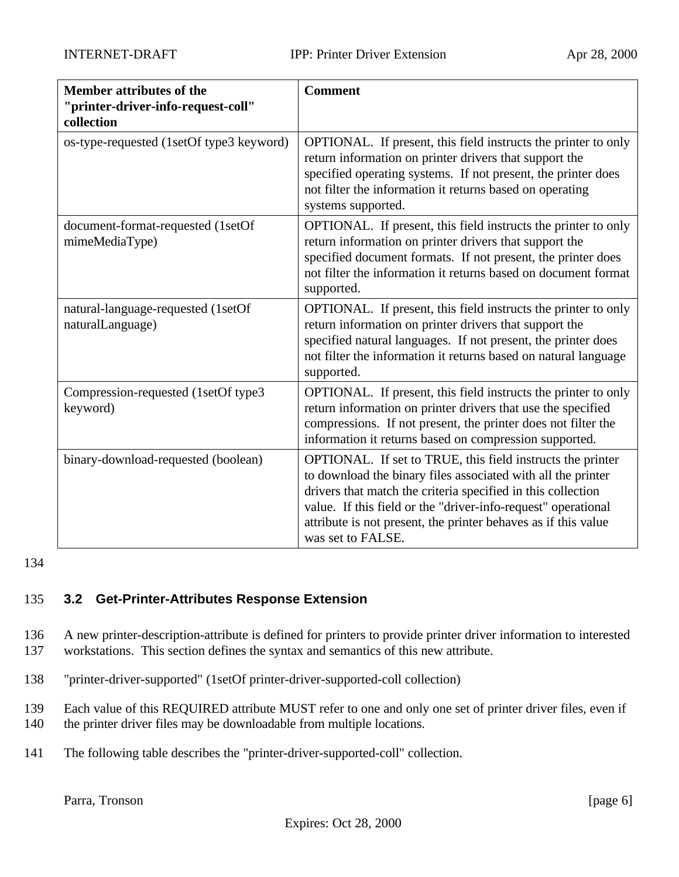| <b>Member attributes of the</b><br>"printer-driver-info-request-coll"<br>collection | <b>Comment</b>                                                                                                                                                                                                                                                                                                                                     |
|-------------------------------------------------------------------------------------|----------------------------------------------------------------------------------------------------------------------------------------------------------------------------------------------------------------------------------------------------------------------------------------------------------------------------------------------------|
| os-type-requested (1setOf type3 keyword)                                            | OPTIONAL. If present, this field instructs the printer to only<br>return information on printer drivers that support the<br>specified operating systems. If not present, the printer does<br>not filter the information it returns based on operating<br>systems supported.                                                                        |
| document-format-requested (1setOf<br>mimeMediaType)                                 | OPTIONAL. If present, this field instructs the printer to only<br>return information on printer drivers that support the<br>specified document formats. If not present, the printer does<br>not filter the information it returns based on document format<br>supported.                                                                           |
| natural-language-requested (1setOf<br>naturalLanguage)                              | OPTIONAL. If present, this field instructs the printer to only<br>return information on printer drivers that support the<br>specified natural languages. If not present, the printer does<br>not filter the information it returns based on natural language<br>supported.                                                                         |
| Compression-requested (1setOf type3<br>keyword)                                     | OPTIONAL. If present, this field instructs the printer to only<br>return information on printer drivers that use the specified<br>compressions. If not present, the printer does not filter the<br>information it returns based on compression supported.                                                                                          |
| binary-download-requested (boolean)                                                 | OPTIONAL. If set to TRUE, this field instructs the printer<br>to download the binary files associated with all the printer<br>drivers that match the criteria specified in this collection<br>value. If this field or the "driver-info-request" operational<br>attribute is not present, the printer behaves as if this value<br>was set to FALSE. |

#### 134

### 135 **3.2 Get-Printer-Attributes Response Extension**

136 A new printer-description-attribute is defined for printers to provide printer driver information to interested 137 workstations. This section defines the syntax and semantics of this new attribute.

138 "printer-driver-supported" (1setOf printer-driver-supported-coll collection)

139 Each value of this REQUIRED attribute MUST refer to one and only one set of printer driver files, even if

- 140 the printer driver files may be downloadable from multiple locations.
- 141 The following table describes the "printer-driver-supported-coll" collection.

Parra, Tronson [page 6]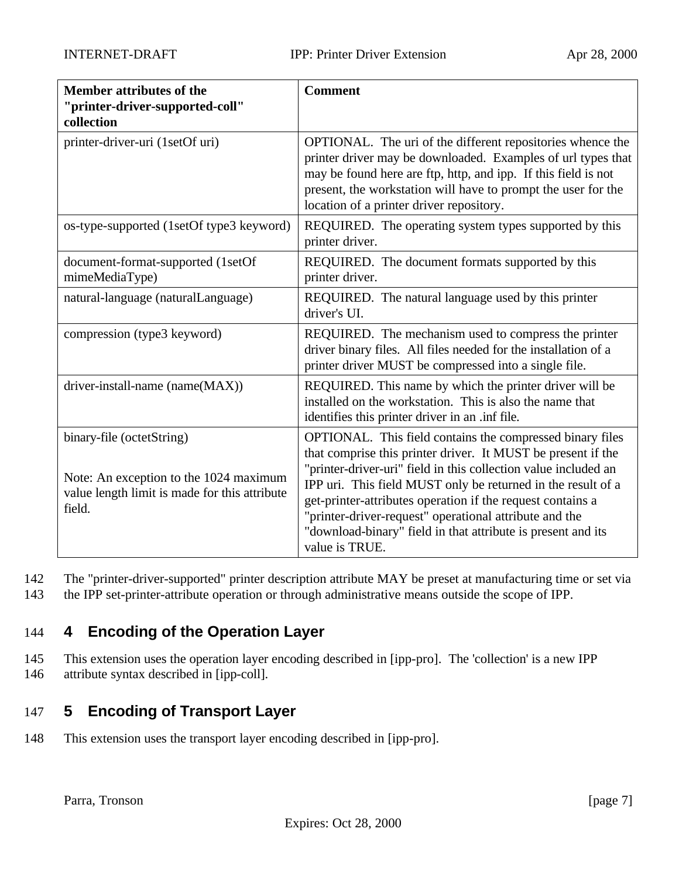| <b>Member attributes of the</b><br>"printer-driver-supported-coll"<br>collection                                               | <b>Comment</b>                                                                                                                                                                                                                                                                                                                                                                                                                                                         |
|--------------------------------------------------------------------------------------------------------------------------------|------------------------------------------------------------------------------------------------------------------------------------------------------------------------------------------------------------------------------------------------------------------------------------------------------------------------------------------------------------------------------------------------------------------------------------------------------------------------|
| printer-driver-uri (1setOf uri)                                                                                                | OPTIONAL. The uri of the different repositories whence the<br>printer driver may be downloaded. Examples of url types that<br>may be found here are ftp, http, and ipp. If this field is not<br>present, the workstation will have to prompt the user for the<br>location of a printer driver repository.                                                                                                                                                              |
| os-type-supported (1setOf type3 keyword)                                                                                       | REQUIRED. The operating system types supported by this<br>printer driver.                                                                                                                                                                                                                                                                                                                                                                                              |
| document-format-supported (1setOf<br>mimeMediaType)                                                                            | REQUIRED. The document formats supported by this<br>printer driver.                                                                                                                                                                                                                                                                                                                                                                                                    |
| natural-language (naturalLanguage)                                                                                             | REQUIRED. The natural language used by this printer<br>driver's UI.                                                                                                                                                                                                                                                                                                                                                                                                    |
| compression (type3 keyword)                                                                                                    | REQUIRED. The mechanism used to compress the printer<br>driver binary files. All files needed for the installation of a<br>printer driver MUST be compressed into a single file.                                                                                                                                                                                                                                                                                       |
| driver-install-name (name(MAX))                                                                                                | REQUIRED. This name by which the printer driver will be<br>installed on the workstation. This is also the name that<br>identifies this printer driver in an .inf file.                                                                                                                                                                                                                                                                                                 |
| binary-file (octetString)<br>Note: An exception to the 1024 maximum<br>value length limit is made for this attribute<br>field. | OPTIONAL. This field contains the compressed binary files<br>that comprise this printer driver. It MUST be present if the<br>"printer-driver-uri" field in this collection value included an<br>IPP uri. This field MUST only be returned in the result of a<br>get-printer-attributes operation if the request contains a<br>"printer-driver-request" operational attribute and the<br>"download-binary" field in that attribute is present and its<br>value is TRUE. |

142 The "printer-driver-supported" printer description attribute MAY be preset at manufacturing time or set via

143 the IPP set-printer-attribute operation or through administrative means outside the scope of IPP.

## 144 **4 Encoding of the Operation Layer**

145 This extension uses the operation layer encoding described in [ipp-pro]. The 'collection' is a new IPP 146 attribute syntax described in [ipp-coll].

# 147 **5 Encoding of Transport Layer**

148 This extension uses the transport layer encoding described in [ipp-pro].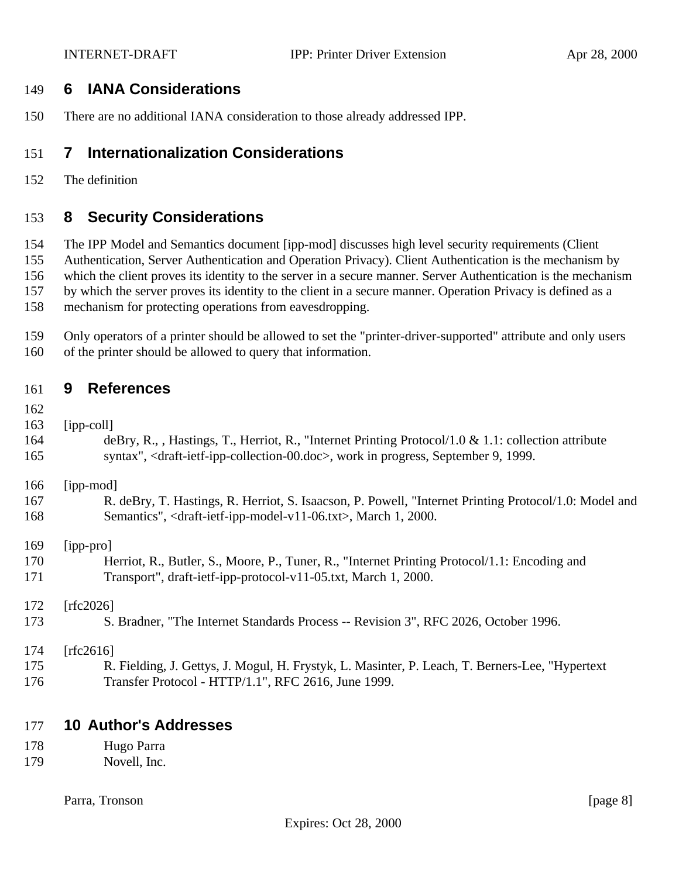## **6 IANA Considerations**

There are no additional IANA consideration to those already addressed IPP.

## **7 Internationalization Considerations**

The definition

## **8 Security Considerations**

The IPP Model and Semantics document [ipp-mod] discusses high level security requirements (Client

Authentication, Server Authentication and Operation Privacy). Client Authentication is the mechanism by

which the client proves its identity to the server in a secure manner. Server Authentication is the mechanism

by which the server proves its identity to the client in a secure manner. Operation Privacy is defined as a

mechanism for protecting operations from eavesdropping.

 Only operators of a printer should be allowed to set the "printer-driver-supported" attribute and only users of the printer should be allowed to query that information.

| 9<br>161 | <b>References</b> |
|----------|-------------------|
|----------|-------------------|

- 
- [ipp-coll]

| 164 | deBry, R., , Hastings, T., Herriot, R., "Internet Printing Protocol/1.0 & 1.1: collection attribute                  |
|-----|----------------------------------------------------------------------------------------------------------------------|
| 165 | syntax", <draft-ietf-ipp-collection-00.doc>, work in progress, September 9, 1999.</draft-ietf-ipp-collection-00.doc> |

[ipp-mod]

| 167 | R. deBry, T. Hastings, R. Herriot, S. Isaacson, P. Powell, "Internet Printing Protocol/1.0: Model and |
|-----|-------------------------------------------------------------------------------------------------------|
| 168 | Semantics", <draft-ietf-ipp-model-v11-06.txt>, March 1, 2000.</draft-ietf-ipp-model-v11-06.txt>       |

[ipp-pro]

| 170 | Herriot, R., Butler, S., Moore, P., Tuner, R., "Internet Printing Protocol/1.1: Encoding and |
|-----|----------------------------------------------------------------------------------------------|
| 171 | Transport", draft-ietf-ipp-protocol-v11-05.txt, March 1, 2000.                               |

[rfc2026]

S. Bradner, "The Internet Standards Process -- Revision 3", RFC 2026, October 1996.

#### [rfc2616]

 R. Fielding, J. Gettys, J. Mogul, H. Frystyk, L. Masinter, P. Leach, T. Berners-Lee, "Hypertext Transfer Protocol - HTTP/1.1", RFC 2616, June 1999.

### **10 Author's Addresses**

- Hugo Parra
- Novell, Inc.

Parra, Tronson [page 8]